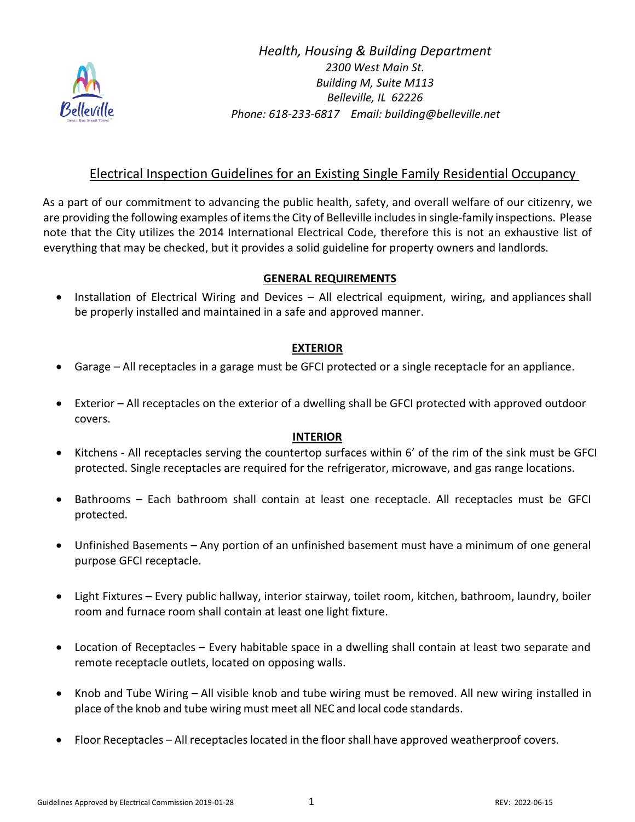

*Health, Housing & Building Department 2300 West Main St. Building M, Suite M113 Belleville, IL 62226 Phone: 618-233-6817 Email: building@belleville.net*

## Electrical Inspection Guidelines for an Existing Single Family Residential Occupancy

As a part of our commitment to advancing the public health, safety, and overall welfare of our citizenry, we are providing the following examples of items the City of Belleville includesin single-family inspections. Please note that the City utilizes the 2014 International Electrical Code, therefore this is not an exhaustive list of everything that may be checked, but it provides a solid guideline for property owners and landlords.

## **GENERAL REQUIREMENTS**

• Installation of Electrical Wiring and Devices – All electrical equipment, wiring, and appliances shall be properly installed and maintained in a safe and approved manner.

## **EXTERIOR**

- Garage All receptacles in a garage must be GFCI protected or a single receptacle for an appliance.
- Exterior All receptacles on the exterior of a dwelling shall be GFCI protected with approved outdoor covers.

## **INTERIOR**

- Kitchens All receptacles serving the countertop surfaces within 6' of the rim of the sink must be GFCI protected. Single receptacles are required for the refrigerator, microwave, and gas range locations.
- Bathrooms Each bathroom shall contain at least one receptacle. All receptacles must be GFCI protected.
- Unfinished Basements Any portion of an unfinished basement must have a minimum of one general purpose GFCI receptacle.
- Light Fixtures Every public hallway, interior stairway, toilet room, kitchen, bathroom, laundry, boiler room and furnace room shall contain at least one light fixture.
- Location of Receptacles Every habitable space in a dwelling shall contain at least two separate and remote receptacle outlets, located on opposing walls.
- Knob and Tube Wiring All visible knob and tube wiring must be removed. All new wiring installed in place of the knob and tube wiring must meet all NEC and local code standards.
- Floor Receptacles All receptacles located in the floor shall have approved weatherproof covers.